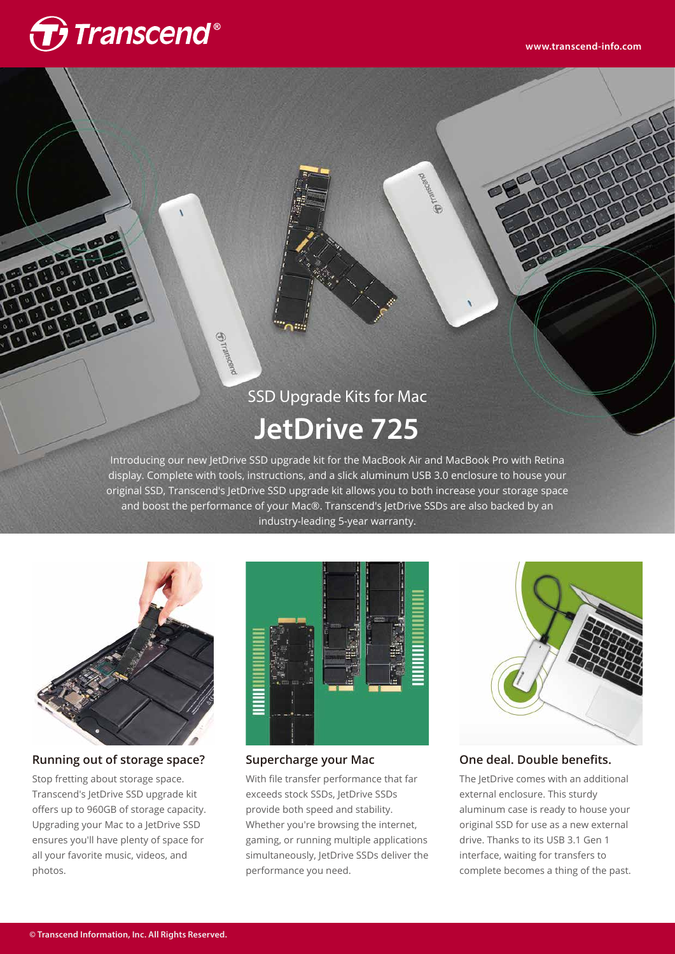# **T** Transcend®

## SSD Upgrade Kits for Mac **JetDrive 725**

**Ortramscend** 

Introducing our new JetDrive SSD upgrade kit for the MacBook Air and MacBook Pro with Retina display. Complete with tools, instructions, and a slick aluminum USB 3.0 enclosure to house your original SSD, Transcend's JetDrive SSD upgrade kit allows you to both increase your storage space and boost the performance of your Mac®. Transcend's JetDrive SSDs are also backed by an industry-leading 5-year warranty.



#### **Running out of storage space?**

Stop fretting about storage space. Transcend's JetDrive SSD upgrade kit offers up to 960GB of storage capacity. Upgrading your Mac to a JetDrive SSD ensures you'll have plenty of space for all your favorite music, videos, and photos.



#### **Supercharge your Mac**

With file transfer performance that far exceeds stock SSDs, JetDrive SSDs provide both speed and stability. Whether you're browsing the internet, gaming, or running multiple applications simultaneously, JetDrive SSDs deliver the performance you need.



#### **One deal. Double benefits.**

The JetDrive comes with an additional external enclosure. This sturdy aluminum case is ready to house your original SSD for use as a new external drive. Thanks to its USB 3.1 Gen 1 interface, waiting for transfers to complete becomes a thing of the past.